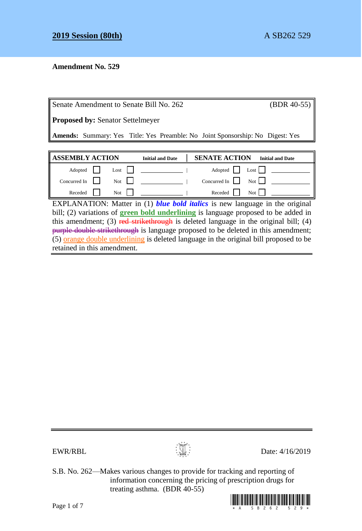## **Amendment No. 529**

Senate Amendment to Senate Bill No. 262 (BDR 40-55)

**Proposed by:** Senator Settelmeyer

**Amends:** Summary: Yes Title: Yes Preamble: No Joint Sponsorship: No Digest: Yes

| <b>ASSEMBLY ACTION</b> |  |       | <b>Initial and Date</b> | <b>SENATE ACTION</b><br><b>Initial and Date</b> |                |
|------------------------|--|-------|-------------------------|-------------------------------------------------|----------------|
| Adopted                |  | Last  |                         |                                                 | Adopted Lost I |
| Concurred In           |  | $Not$ |                         | Concurred In $\ $                               | Not Not        |
| Receded                |  | Not   |                         | Receded                                         | Not 1          |

EXPLANATION: Matter in (1) *blue bold italics* is new language in the original bill; (2) variations of **green bold underlining** is language proposed to be added in this amendment; (3) red strikethrough is deleted language in the original bill; (4) purple double strikethrough is language proposed to be deleted in this amendment; (5) orange double underlining is deleted language in the original bill proposed to be retained in this amendment.



 $EWR/RBL$  Date: 4/16/2019

S.B. No. 262—Makes various changes to provide for tracking and reporting of information concerning the pricing of prescription drugs for treating asthma. (BDR 40-55)

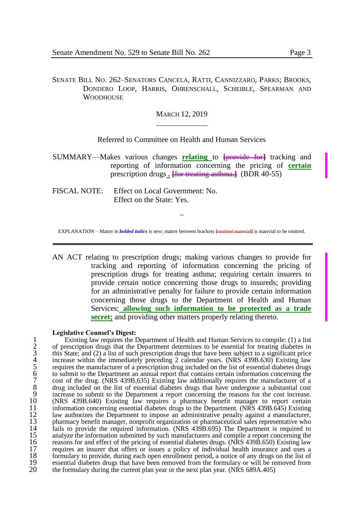SENATE BILL NO. 262–SENATORS CANCELA, RATTI, CANNIZZARO, PARKS; BROOKS, DONDERO LOOP, HARRIS, OHRENSCHALL, SCHEIBLE, SPEARMAN AND **WOODHOUSE** 

> MARCH 12, 2019  $\overline{\phantom{a}}$  , where  $\overline{\phantom{a}}$

## Referred to Committee on Health and Human Services

SUMMARY—Makes various changes **relating** to **[**provide for**]** tracking and reporting of information concerning the pricing of **certain**  prescription drugs **. [**for treating asthma.**]** (BDR 40-55)

FISCAL NOTE: Effect on Local Government: No. Effect on the State: Yes.

~ EXPLANATION – Matter in *bolded italics* is new; matter between brackets **[**omitted material**]** is material to be omitted.

AN ACT relating to prescription drugs; making various changes to provide for tracking and reporting of information concerning the pricing of prescription drugs for treating asthma; requiring certain insurers to provide certain notice concerning those drugs to insureds; providing for an administrative penalty for failure to provide certain information concerning those drugs to the Department of Health and Human Services; **allowing such information to be protected as a trade secret;** and providing other matters properly relating thereto.

#### **Legislative Counsel's Digest:**

<sup>2</sup> Existing law requires the Department of Health and Human Services to compile: (1) a list<br>
2 of prescription drugs that the Department determines to be essential for treating diabetes in<br>
2 in is State; and (2) a list o 2 of prescription drugs that the Department determines to be essential for treating diabetes in 3 this State; and (2) a list of such prescription drugs that have been subject to a significant price increase within the immediately preceding 2 calendar years. (NRS  $439B.630$ ) Existing law 5 requires the manufacturer of a prescription drug included on the list of essential diabetes drugs to submit to the Department an annual report that contains certain information concerning the cost of the drug. (NRS 439B.635) Existing law additionally requires the manufacturer of a 8 drug included on the list of essential diabetes drugs that have undergone a substantial cost 9 increase to submit to the Department a report concerning the reasons for the cost increase.<br>10 (NRS 439B.640) Existing law requires a pharmacy benefit manager to report certain 10 (NRS 439B.640) Existing law requires a pharmacy benefit manager to report certain information concerning essential diabetes drugs to the Department. (NRS 439B.645) Existing 11 information concerning essential diabetes drugs to the Department. (NRS 439B.645) Existing<br>12 law authorizes the Department to impose an administrative penalty against a manufacturer,<br>13 pharmacy benefit manager, nonpro Iaw authorizes the Department to impose an administrative penalty against a manufacturer, 13 pharmacy benefit manager, nonprofit organization or pharmaceutical sales representative who fails to provide the required information. (NRS 439B.695) The Department is required to analyze the information submitted by su fails to provide the required information. (NRS 439B.695) The Department is required to 15 analyze the information submitted by such manufacturers and compile a report concerning the reasons for and effect of the pricing of essential diabetes drugs. (NRS 439B.650) Existing law 16 reasons for and effect of the pricing of essential diabetes drugs. (NRS 439B.650) Existing law<br>17 requires an insurer that offers or issues a policy of individual health insurance and uses a 17 requires an insurer that offers or issues a policy of individual health insurance and uses a<br>18 formulary to provide, during each open enrollment period, a notice of any drugs on the list of 18 formulary to provide, during each open enrollment period, a notice of any drugs on the list of essential diabetes drugs that have been removed from the formulary or will be removed from 19 essential diabetes drugs that have been removed from the formulary or will be removed from<br>20 the formulary during the current plan year or the next plan year. (NRS 689A.405) the formulary during the current plan year or the next plan year. (NRS 689A.405)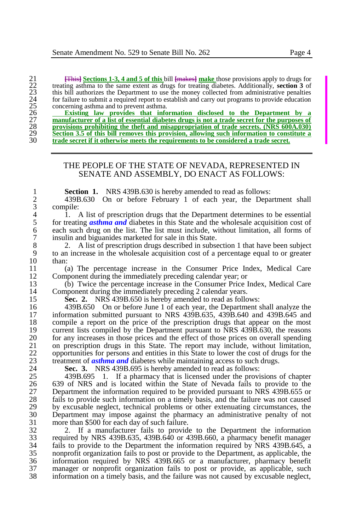**Fixally Sections 1-3, 4 and 5 of this** bill [*makes*] make those provisions apply to drugs for trating asthma to the same extent as drugs for trating diabetes. Additionally, **section 3** of this bill authorizes the Departm 22 treating asthma to the same extent as drugs for treating diabetes. Additionally, **section 3** of 23 this bill authorizes the Department to use the money collected from administrative penalties 24 for failure to submit a required report to establish and carry out programs to provide education concerning asthma and to prevent asthma.

 **Existing law provides that information disclosed to the Department by a manufacturer of a list of essential diabetes drugs is not a trade secret for the purposes of provisions prohibiting the theft and misappropriation of trade secrets. (NRS 600A.030) Section 3.5 of this bill removes this provision, allowing such information to constitute a trade secret if it otherwise meets the requirements to be considered a trade secret.**

## THE PEOPLE OF THE STATE OF NEVADA, REPRESENTED IN SENATE AND ASSEMBLY, DO ENACT AS FOLLOWS:

**1 Section 1.** NRS 439B.630 is hereby amended to read as follows:<br>2 **439B.630** On or before February 1 of each year, the Depa 2 439B.630 On or before February 1 of each year, the Department shall  $\begin{array}{cc} 3 & \text{compile:} \\ 4 & 1 \end{array}$ 

4 1. A list of prescription drugs that the Department determines to be essential for treating *asthma and* diabetes in this State and the wholesale acquisition cost of 5 for treating *asthma and* diabetes in this State and the wholesale acquisition cost of each such drug on the list. The list must include, without limitation, all forms of 6 each such drug on the list. The list must include, without limitation, all forms of insulin and biguanides marketed for sale in this State. 7 insulin and biguanides marketed for sale in this State.<br>8 2. A list of prescription drugs described in subsection

8 2. A list of prescription drugs described in subsection 1 that have been subject<br>9 to an increase in the wholesale acquisition cost of a percentage equal to or greater 9 to an increase in the wholesale acquisition cost of a percentage equal to or greater  $\begin{array}{cc} 10 & \text{than:} \\ 11 & \text{``} \end{array}$ 

11 (a) The percentage increase in the Consumer Price Index, Medical Care 12 Component during the immediately preceding calendar year; or<br>13 (b) Twice the percentage increase in the Consumer Price I

13 (b) Twice the percentage increase in the Consumer Price Index, Medical Care 14 Component during the immediately preceding 2 calendar years.<br>15 **Sec. 2.** NRS 439B.650 is hereby amended to read as follo

15 **Sec. 2.** NRS 439B.650 is hereby amended to read as follows:

16 439B.650 On or before June 1 of each year, the Department shall analyze the information submitted pursuant to NRS 439B.635, 439B.640 and 439B.645 and 17 information submitted pursuant to NRS 439B.635, 439B.640 and 439B.645 and 18 compile a report on the price of the prescription drugs that appear on the most 18 compile a report on the price of the prescription drugs that appear on the most<br>19 current lists compiled by the Department pursuant to NRS 439B 630, the reasons 19 current lists compiled by the Department pursuant to NRS 439B.630, the reasons 20 for any increases in those prices and the effect of those prices on overall spending 20 for any increases in those prices and the effect of those prices on overall spending<br>21 on prescription drugs in this State. The report may include, without limitation 21 on prescription drugs in this State. The report may include, without limitation,<br>22 opportunities for persons and entities in this State to lower the cost of drugs for the 22 opportunities for persons and entities in this State to lower the cost of drugs for the treatment of **asthma and** diabetes while maintaining access to such drugs. 23 treatment of *asthma and* diabetes while maintaining access to such drugs.<br>24 Sec. 3. NRS 439B 695 is hereby amended to read as follows:

24 **Sec. 3.** NRS 439B.695 is hereby amended to read as follows:<br>25 439B 695 1 If a pharmacy that is licensed under the provi

25 439B.695 1. If a pharmacy that is licensed under the provisions of chapter 26 639 of NRS and is located within the State of Nevada fails to provide to the 26 639 of NRS and is located within the State of Nevada fails to provide to the<br>27 Department the information required to be provided pursuant to NRS 439B 655 or 27 Department the information required to be provided pursuant to NRS 439B.655 or fails to provide such information on a timely basis, and the failure was not caused 28 fails to provide such information on a timely basis, and the failure was not caused<br>29 by excusable neglect, technical problems or other extenuating circumstances, the 29 by excusable neglect, technical problems or other extenuating circumstances, the<br>30 Department may impose against the pharmacy an administrative penalty of not 30 Department may impose against the pharmacy an administrative penalty of not 31 more than \$500 for each day of such failure.  $31$  more than \$500 for each day of such failure.<br> $32$  The manufacturer fails to provide

32 2. If a manufacturer fails to provide to the Department the information<br>33 required by NRS 439B.635, 439B.640 or 439B.660, a pharmacy benefit manager required by NRS 439B.635, 439B.640 or 439B.660, a pharmacy benefit manager fails to provide to the Department the information required by NRS 439B.645, a nonprofit organization fails to post or provide to the Department, as applicable, the information required by NRS 439B.665 or a manufacturer, pharmacy benefit manager or nonprofit organization fails to post or provide, as applicable, such information on a timely basis, and the failure was not caused by excusable neglect,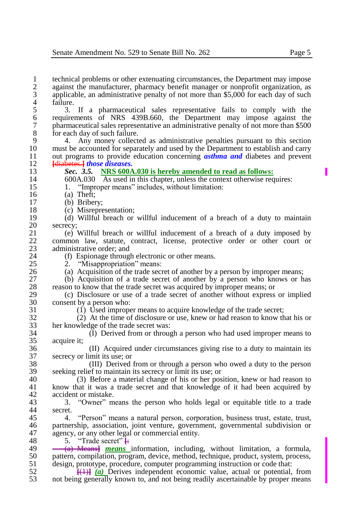1 technical problems or other extenuating circumstances, the Department may impose<br>2 against the manufacturer, pharmacy benefit manager or nonprofit organization, as 2 against the manufacturer, pharmacy benefit manager or nonprofit organization, as<br>3 applicable, an administrative penalty of not more than \$5,000 for each day of such 3 applicable, an administrative penalty of not more than \$5,000 for each day of such 4 failure.<br> $5\qquad \qquad 3.$ 

5 3. If a pharmaceutical sales representative fails to comply with the requirements of NRS 439B.660, the Department may impose against the 6 requirements of NRS 439B.660, the Department may impose against the 7 pharmaceutical sales representative an administrative penalty of not more than \$500 8 for each day of such failure.<br>9  $\frac{4}{3}$  Any money collect

9 4. Any money collected as administrative penalties pursuant to this section<br>10 must be accounted for separately and used by the Department to establish and carry 10 must be accounted for separately and used by the Department to establish and carry<br>11 out programs to provide education concerning *asthing and* diabetes and prevent 11 out programs to provide education concerning *asthma and* diabetes and prevent 12 *diabetes 1 those diseases*. 12 **[**diabetes.**]** *those diseases.*

# 13 *Sec. 3.5.* **NRS 600A.030 is hereby amended to read as follows:**

14 600A.030 As used in this chapter, unless the context otherwise requires:<br>15 1. "Improper means" includes, without limitation:

15 1. "Improper means" includes, without limitation:<br>16 (a) Theft:

16 (a) Theft;<br>17 (b) Briber

17 (b) Bribery;<br>18 (c) Misrepre

18 (c) Misrepresentation;<br>19 (d) Willful breach or 19 (d) Willful breach or willful inducement of a breach of a duty to maintain  $20$  secrecy;<br>21 (e)

21 (e) Willful breach or willful inducement of a breach of a duty imposed by<br>22 common law, statute, contract, license, protective order or other court or 22 common law, statute, contract, license, protective order or other court or administrative order and 23 administrative order; and<br>24 (f) Espionage through

24 (f) Espionage through electronic or other means.<br>25 2. "Misappropriation" means:

25 2. "Misappropriation" means:<br>26 (a) Acquisition of the trade secrets

26 (a) Acquisition of the trade secret of another by a person by improper means;<br>27 (b) Acquisition of a trade secret of another by a person who knows or h

27 (b) Acquisition of a trade secret of another by a person who knows or has reason to know that the trade secret was acquired by improper means: or 28 reason to know that the trade secret was acquired by improper means; or  $(29 \text{ C})$  Disclosure or use of a trade secret of another without express

29 (c) Disclosure or use of a trade secret of another without express or implied  $30$  consent by a person who:<br> $31$  (1) Used improper-

31 (1) Used improper means to acquire knowledge of the trade secret;<br>32 (2) At the time of disclosure or use, knew or had reason to know the  $32$  (2) At the time of disclosure or use, knew or had reason to know that his or her knowledge of the trade secret was: 33 her knowledge of the trade secret was:

 $34$  (I) Derived from or through a person who had used improper means to acquire it: acquire it;

36 (II) Acquired under circumstances giving rise to a duty to maintain its 37 secrecy or limit its use; or<br>38 (III) Derived

38 (III) Derived from or through a person who owed a duty to the person<br>39 seeking relief to maintain its secrecy or limit its use: or 39 seeking relief to maintain its secrecy or limit its use; or 40<br>40 (3) Before a material change of his or her pos

40 (3) Before a material change of his or her position, knew or had reason to 41 know that it was a trade secret and that knowledge of it had been acquired by 41 know that it was a trade secret and that knowledge of it had been acquired by 42 accident or mistake.<br>43 3. "Owner" m

43 3. "Owner" means the person who holds legal or equitable title to a trade secret.

45 4. "Person" means a natural person, corporation, business trust, estate, trust, 46 arthurs association, ioint venture, government, governmental subdivision or 46 partnership, association, joint venture, government, governmental subdivision or approx or any other legal or commercial entity. 47 agency, or any other legal or commercial entity.<br>48 5. "Trade secret"

48 5. "Trade secret" **[**:

49 (a) Means<sup>1</sup> *means* information, including, without limitation, a formula, 50 nattern compilation program device method technique product system process. 50 pattern, compilation, program, device, method, technique, product, system, process, design, prototype, procedure, computer programming instruction or code that: 51 design, prototype, procedure, computer programming instruction or code that:<br>52  $H(1)$  (a) Derives independent economic value, actual or potential.

52  $\left[\frac{f(1)}{a}\right]$   $\frac{f(a)}{a}$  Derives independent economic value, actual or potential, from 53 not being generally known to, and not being readily ascertainable by proper means not being generally known to, and not being readily ascertainable by proper means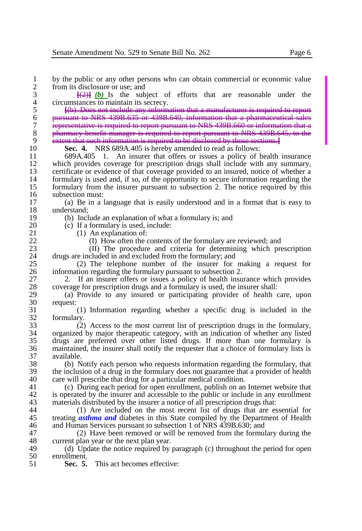1 by the public or any other persons who can obtain commercial or economic value from its disclosure or use: and 2 from its disclosure or use; and<br>3  $\frac{1}{2}$   $\frac{1}{2}$   $\frac{1}{2}$   $\frac{1}{2}$   $\frac{1}{2}$   $\frac{1}{2}$   $\frac{1}{2}$   $\frac{1}{2}$   $\frac{1}{2}$   $\frac{1}{2}$   $\frac{1}{2}$   $\frac{1}{2}$   $\frac{1}{2}$   $\frac{1}{2}$   $\frac{1}{2}$   $\frac{1}{2}$   $\frac{1}{2}$   $\frac{1}{2}$   $\frac{1$ 

 $\frac{1}{2}$   $\frac{1}{2}$   $\frac{1}{2}$   $\frac{1}{2}$  Is the subject of efforts that are reasonable under the circumstances to maintain its secrecy. 4 circumstances to maintain its secrecy.<br>5  $\frac{f(b)}{f(b)}$  Does not include any inform

5 **[**(b) Does not include any information that a manufacturer is required to report 6 pursuant to NRS 439B.635 or 439B.640, information that a pharmaceutical<br>7 sepresentative is required to report pursuant to NRS 439B.660 or information **12 representative is required to report pursuant to NRS 439B.660 or information that a**<br>28 *pharmaey benefit manager is required to report pursuant to NRS 439B.645, to the* 8 pharmacy benefit manager is required to report pursuant to NRS 439B.645, to the<br>9 extent that such information is required to be disclosed by those sections. <sup>9</sup> extent that such information is required to be disclosed by those sections.<br>10 **Sec. 4.** NRS 689A.405 is hereby amended to read as follows:

10 **Sec. 4.** NRS 689A.405 is hereby amended to read as follows: 11 689A.405 1. An insurer that offers or issues a policy of health insurance<br>12 which provides coverage for prescription drugs shall include with any summary. 12 which provides coverage for prescription drugs shall include with any summary,<br>13 certificate or evidence of that coverage provided to an insured, notice of whether a 13 certificate or evidence of that coverage provided to an insured, notice of whether a<br>14 formulary is used and, if so, of the opportunity to secure information regarding the 14 formulary is used and, if so, of the opportunity to secure information regarding the formulary from the insurer pursuant to subsection 2. The notice required by this 15 formulary from the insurer pursuant to subsection 2. The notice required by this subsection must: 16 subsection must:<br>17 (a) Be in a

17 (a) Be in a language that is easily understood and in a format that is easy to 18 understand;<br>19 (b) Incl

19 (b) Include an explanation of what a formulary is; and  $20$  (c) If a formulary is used, include:

20 (c) If a formulary is used, include:<br>21 (1) An explanation of:

21 (1) An explanation of:<br>22 (1) How often the c

22 (I) How often the contents of the formulary are reviewed; and 23 (II) The procedure and criteria for determining which pro

23 (II) The procedure and criteria for determining which prescription drugs are included in and excluded from the formulary; and 24 drugs are included in and excluded from the formulary; and<br>25 (2) The telephone number of the insurer for

25 (2) The telephone number of the insurer for making a request for information regarding the formulary pursuant to subsection 2. 26 information regarding the formulary pursuant to subsection 2.<br>27 2. If an insurer offers or issues a policy of health insu

27 2. 2. If an insurer offers or issues a policy of health insurance which provides<br>28 coverage for prescription drugs and a formulary is used, the insurer shall: 28 coverage for prescription drugs and a formulary is used, the insurer shall:

29 (a) Provide to any insured or participating provider of health care, upon  $30$  request:<br> $31$ 

31 (1) Information regarding whether a specific drug is included in the  $\begin{array}{cc} 32 \\ 33 \end{array}$  formulary.

33 (2) Access to the most current list of prescription drugs in the formulary, 34 organized by major therapeutic category, with an indication of whether any listed 35 drugs are preferred over other listed drugs. If more than one formulary is 36 maintained, the insurer shall notify the requester that a choice of formulary lists is available. 37 available.<br>38 (b) N

38 (b) Notify each person who requests information regarding the formulary, that  $39$  the inclusion of a drug in the formulary does not guarantee that a provider of health  $40$  care will prescribe that drug for a particular medical condition. 40 care will prescribe that drug for a particular medical condition.<br>41 (c) During each period for open enrollment, publish on an

41 (c) During each period for open enrollment, publish on an Internet website that 42 is operated by the insurer and accessible to the public or include in any enrollment<br>43 materials distributed by the insurer a notice of all prescription drugs that: 43 materials distributed by the insurer a notice of all prescription drugs that:<br>44 (1) Are included on the most recent list of drugs that are es

44 (1) Are included on the most recent list of drugs that are essential for 45 treating *asthma and* diabetes in this State compiled by the Department of Health and Human Services pursuant to subsection 1 of NRS 439B 630; and 46 and Human Services pursuant to subsection 1 of NRS 439B.630; and 47 (2) Have been removed or will be removed from the formul

47 (2) Have been removed or will be removed from the formulary during the current plan vear or the next plan vear. 48 current plan year or the next plan year.<br>49 (d) Undate the notice required by

49 (d) Update the notice required by paragraph (c) throughout the period for open enrollment.  $50$  enrollment.<br>51 Sec. 5.

**Sec. 5.** This act becomes effective: